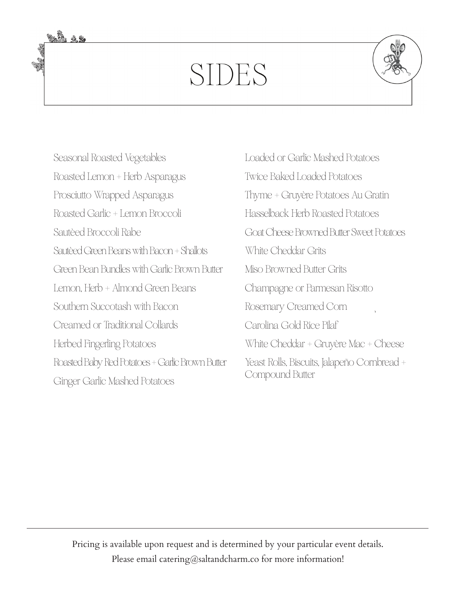## SIDES



Seasonal Roasted Vegetables Roasted Lemon + Herb Asparagus Prosciutto Wrapped Asparagus Roasted Garlic + Lemon Broccoli Sautèed Broccoli Rabe Sautèed Green Beans with Bacon + Shallots Green Bean Bundles with Garlic Brown Butter Lemon, Herb + Almond Green Beans Southern Succotash with Bacon Creamed or Traditional Collards Herbed Fingerling Potatoes Roasted Baby Red Potatoes + Garlic Brown Butter Ginger Garlic Mashed Potatoes

Loaded or Garlic Mashed Potatoes Twice Baked Loaded Potatoes Thyme + Gruyère Potatoes Au Gratin Hasselback Herb Roasted Potatoes Goat Cheese Browned Butter Sweet Potatoes White Cheddar Grits Miso Browned Butter Grits Champagne or Parmesan Risotto Rosemary Creamed Corn Carolina Gold Rice Pilaf White Cheddar + Gruyère Mac + Cheese Yeast Rolls, Biscuits, Jalapeño Cornbread + Compound Butter